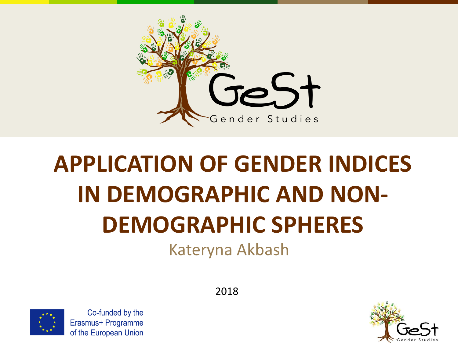

# **APPLICATION OF GENDER INDICES IN DEMOGRAPHIC AND NON-DEMOGRAPHIC SPHERES**

Kateryna Akbash



Co-funded by the Erasmus+ Programme of the European Union

2018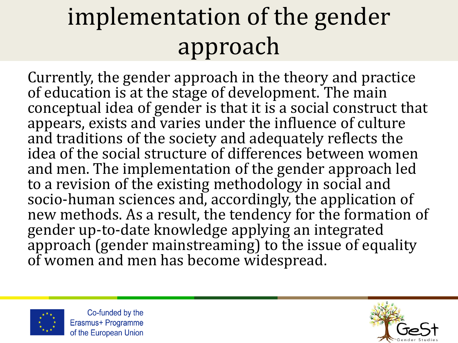## implementation of the gender approach

Currently, the gender approach in the theory and practice of education is at the stage of development. The main conceptual idea of gender is that it is a social construct that appears, exists and varies under the influence of culture and traditions of the society and adequately reflects the idea of the social structure of differences between women and men. The implementation of the gender approach led to a revision of the existing methodology in social and socio-human sciences and, accordingly, the application of new methods. As a result, the tendency for the formation of gender up-to-date knowledge applying an integrated approach (gender mainstreaming) to the issue of equality of women and men has become widespread.



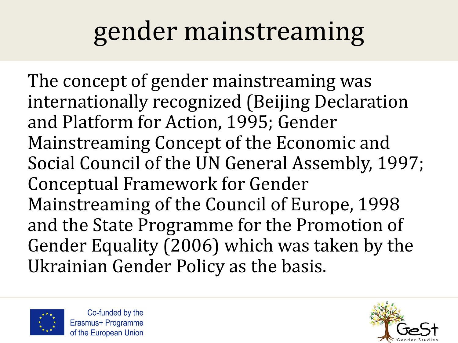## gender mainstreaming

The concept of gender mainstreaming was internationally recognized (Beijing Declaration and Platform for Action, 1995; Gender Mainstreaming Concept of the Economic and Social Council of the UN General Assembly, 1997; Conceptual Framework for Gender Mainstreaming of the Council of Europe, 1998 and the State Programme for the Promotion of Gender Equality (2006) which was taken by the Ukrainian Gender Policy as the basis.



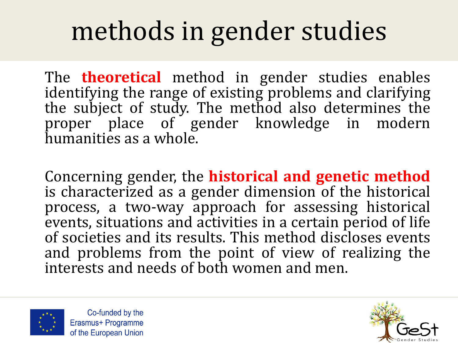## methods in gender studies

The **theoretical** method in gender studies enables identifying the range of existing problems and clarifying the subject of study. The method also determines the proper place of gender knowledge in modern humanities as a whole.

Concerning gender, the **historical and genetic method** is characterized as a gender dimension of the historical process, a two-way approach for assessing historical events, situations and activities in a certain period of life of societies and its results. This method discloses events and problems from the point of view of realizing the interests and needs of both women and men.



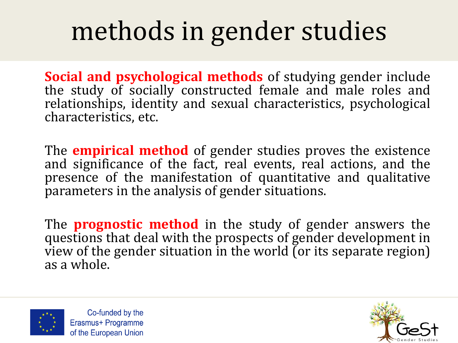## methods in gender studies

**Social and psychological methods** of studying gender include the study of socially constructed female and male roles and relationships, identity and sexual characteristics, psychological characteristics, etc.

The **empirical method** of gender studies proves the existence and significance of the fact, real events, real actions, and the presence of the manifestation of quantitative and qualitative parameters in the analysis of gender situations.

The **prognostic method** in the study of gender answers the questions that deal with the prospects of gender development in view of the gender situation in the world (or its separate region) as a whole.



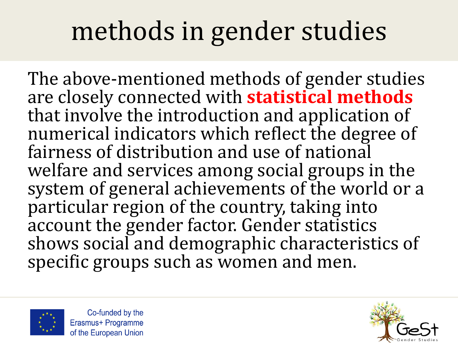## methods in gender studies

The above-mentioned methods of gender studies are closely connected with **statistical methods** that involve the introduction and application of numerical indicators which reflect the degree of fairness of distribution and use of national welfare and services among social groups in the system of general achievements of the world or a particular region of the country, taking into account the gender factor. Gender statistics shows social and demographic characteristics of specific groups such as women and men.



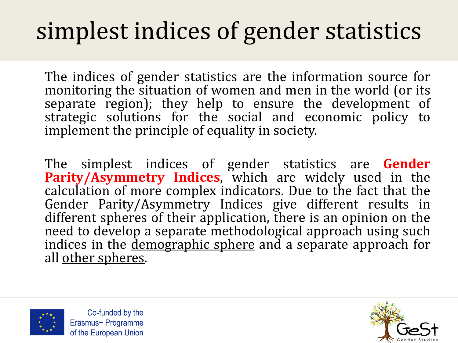#### simplest indices of gender statistics

The indices of gender statistics are the information source for monitoring the situation of women and men in the world (or its separate region); they help to ensure the development of strategic solutions for the social and economic policy to implement the principle of equality in society.

The simplest indices of gender statistics are **Gender Parity/Asymmetry Indices**, which are widely used in the calculation of more complex indicators. Due to the fact that the Gender Parity/Asymmetry Indices give different results in different spheres of their application, there is an opinion on the need to develop a separate methodological approach using such indices in the <u>demographic sphere</u> and a separate approach for all other spheres.



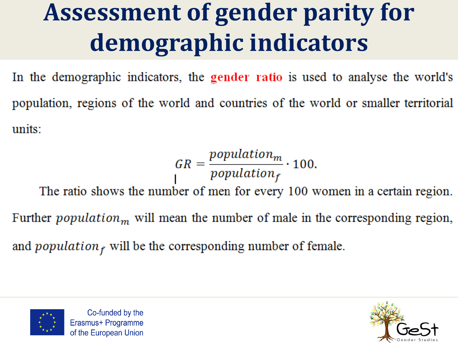#### **Assessment of gender parity for** demographic indicators

In the demographic indicators, the gender ratio is used to analyse the world's population, regions of the world and countries of the world or smaller territorial units:

$$
GR = \frac{population_m}{population_f} \cdot 100.
$$

The ratio shows the number of men for every 100 women in a certain region. Further *population*<sub>m</sub> will mean the number of male in the corresponding region, and *population*  $<sub>f</sub>$  will be the corresponding number of female.</sub>



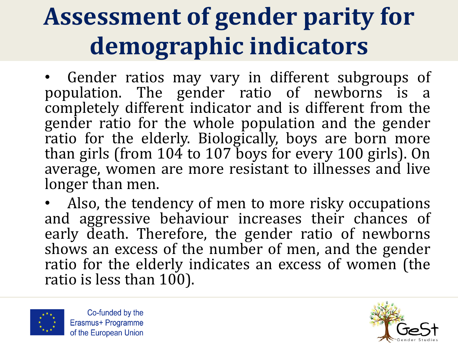### **Assessment of gender parity for demographic indicators**

• Gender ratios may vary in different subgroups of population. The gender ratio of newborns is a completely different indicator and is different from the gender ratio for the whole population and the gender ratio for the elderly. Biologically, boys are born more than girls (from 104 to 107 boys for every 100 girls). On average, women are more resistant to illnesses and live longer than men.

• Also, the tendency of men to more risky occupations and aggressive behaviour increases their chances of early death. Therefore, the gender ratio of newborns shows an excess of the number of men, and the gender ratio for the elderly indicates an excess of women (the ratio is less than 100).



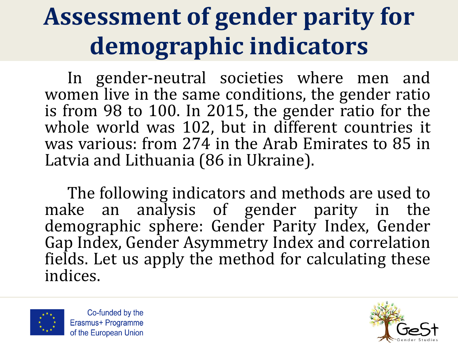### **Assessment of gender parity for demographic indicators**

In gender-neutral societies where men and women live in the same conditions, the gender ratio is from 98 to 100. In 2015, the gender ratio for the whole world was 102, but in different countries it was various: from 274 in the Arab Emirates to 85 in Latvia and Lithuania (86 in Ukraine).

The following indicators and methods are used to make an analysis of gender parity in the demographic sphere: Gender Parity Index, Gender Gap Index, Gender Asymmetry Index and correlation fields. Let us apply the method for calculating these indices.



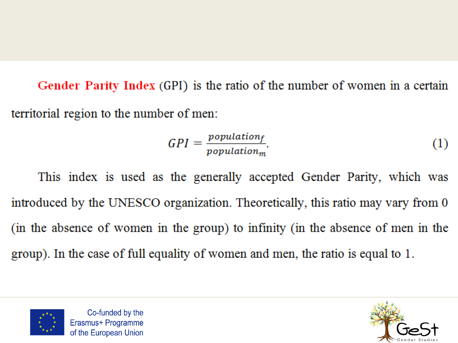Gender Parity Index (GPI) is the ratio of the number of women in a certain territorial region to the number of men:

$$
GPI = \frac{population_f}{population_m}.\tag{1}
$$

This index is used as the generally accepted Gender Parity, which was introduced by the UNESCO organization. Theoretically, this ratio may vary from 0 (in the absence of women in the group) to infinity (in the absence of men in the group). In the case of full equality of women and men, the ratio is equal to 1.



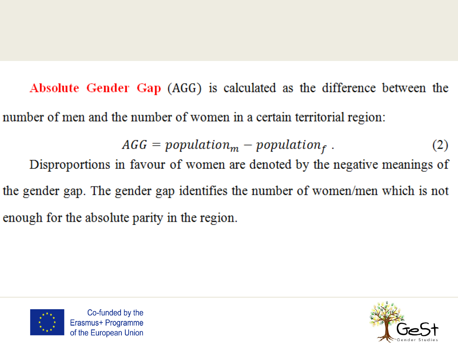Absolute Gender Gap (AGG) is calculated as the difference between the number of men and the number of women in a certain territorial region:

> $AGG = population_m - population_f$ .  $(2)$

Disproportions in favour of women are denoted by the negative meanings of the gender gap. The gender gap identifies the number of women/men which is not enough for the absolute parity in the region.



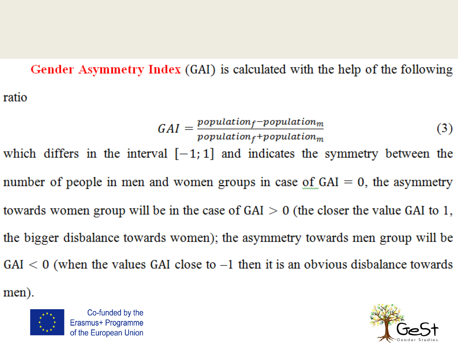#### Gender Asymmetry Index (GAI) is calculated with the help of the following ratio

$$
GAI = \frac{population_f - population_m}{population_f + population_m}
$$
 (3)

which differs in the interval  $[-1, 1]$  and indicates the symmetry between the number of people in men and women groups in case of  $GAI = 0$ , the asymmetry towards women group will be in the case of  $GAI > 0$  (the closer the value GAI to 1, the bigger disbalance towards women); the asymmetry towards men group will be  $GAI < 0$  (when the values GAI close to  $-1$  then it is an obvious disbalance towards

men).



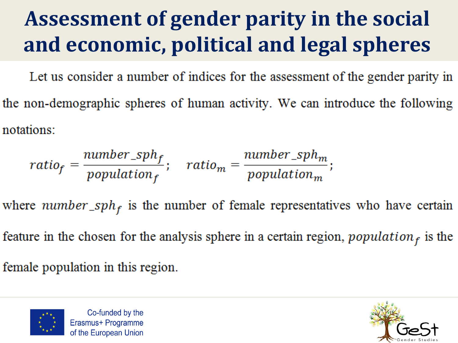#### Assessment of gender parity in the social and economic, political and legal spheres

Let us consider a number of indices for the assessment of the gender parity in the non-demographic spheres of human activity. We can introduce the following notations:

$$
ratio_f = \frac{number\_sph_f}{population_f}; \quad ratio_m = \frac{number\_sph_m}{population_m};
$$

where number\_sph<sub>f</sub> is the number of female representatives who have certain

feature in the chosen for the analysis sphere in a certain region, population  $_f$  is the

female population in this region.



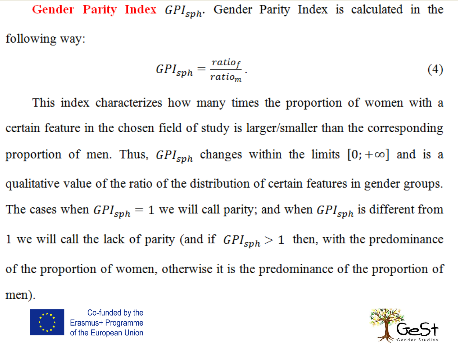Gender Parity Index  $GPI_{sph}$ . Gender Parity Index is calculated in the following way:

$$
GPI_{sph} = \frac{ratio_f}{ratio_m} \,. \tag{4}
$$

This index characterizes how many times the proportion of women with a certain feature in the chosen field of study is larger/smaller than the corresponding proportion of men. Thus,  $GPI_{sph}$  changes within the limits  $[0; +\infty]$  and is a qualitative value of the ratio of the distribution of certain features in gender groups. The cases when  $GPI_{sph} = 1$  we will call parity; and when  $GPI_{sph}$  is different from 1 we will call the lack of parity (and if  $GPI_{sph} > 1$  then, with the predominance of the proportion of women, otherwise it is the predominance of the proportion of

men).



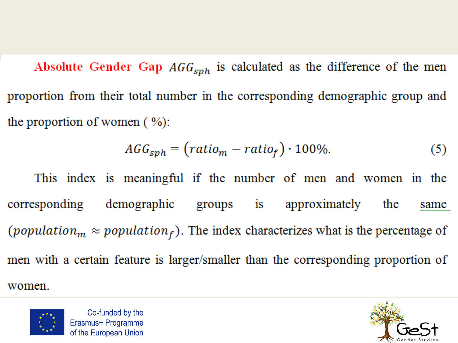Absolute Gender Gap  $AGG<sub>sph</sub>$  is calculated as the difference of the men proportion from their total number in the corresponding demographic group and the proportion of women  $(\% )$ :

$$
AGG_{sph} = (ratio_m - ratio_f) \cdot 100\%.
$$
 (5)

This index is meaningful if the number of men and women in the corresponding demographic groups is approximately the same (population<sub>m</sub>  $\approx$  population<sub>f</sub>). The index characterizes what is the percentage of men with a certain feature is larger/smaller than the corresponding proportion of women.